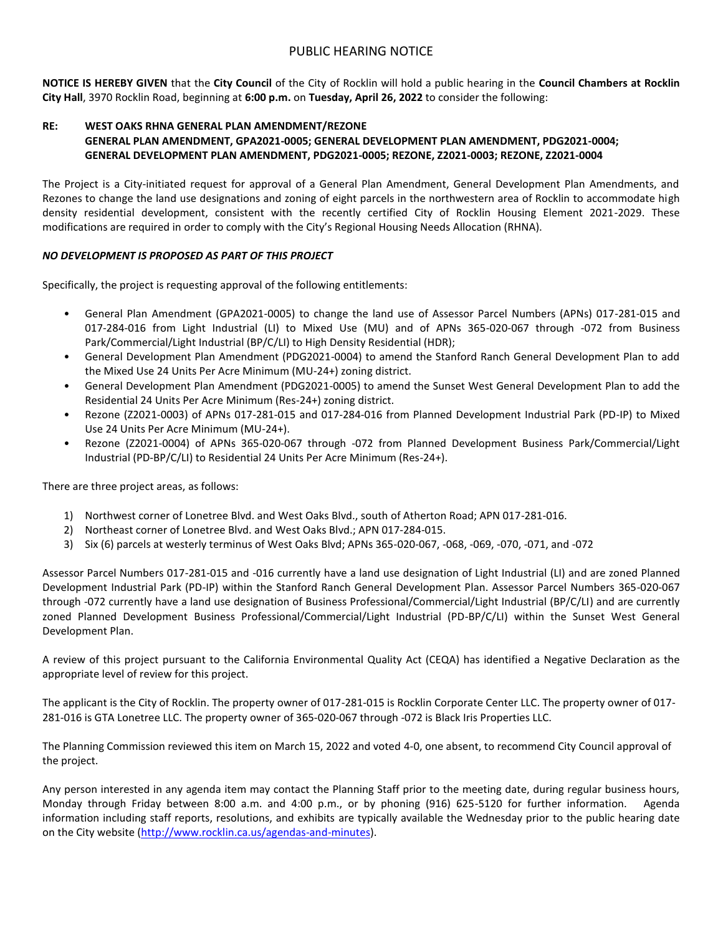## PUBLIC HEARING NOTICE

**NOTICE IS HEREBY GIVEN** that the **City Council** of the City of Rocklin will hold a public hearing in the **Council Chambers at Rocklin City Hall**, 3970 Rocklin Road, beginning at **6:00 p.m.** on **Tuesday, April 26, 2022** to consider the following:

## **RE: WEST OAKS RHNA GENERAL PLAN AMENDMENT/REZONE GENERAL PLAN AMENDMENT, GPA2021-0005; GENERAL DEVELOPMENT PLAN AMENDMENT, PDG2021-0004; GENERAL DEVELOPMENT PLAN AMENDMENT, PDG2021-0005; REZONE, Z2021-0003; REZONE, Z2021-0004**

The Project is a City-initiated request for approval of a General Plan Amendment, General Development Plan Amendments, and Rezones to change the land use designations and zoning of eight parcels in the northwestern area of Rocklin to accommodate high density residential development, consistent with the recently certified City of Rocklin Housing Element 2021-2029. These modifications are required in order to comply with the City's Regional Housing Needs Allocation (RHNA).

## *NO DEVELOPMENT IS PROPOSED AS PART OF THIS PROJECT*

Specifically, the project is requesting approval of the following entitlements:

- General Plan Amendment (GPA2021-0005) to change the land use of Assessor Parcel Numbers (APNs) 017-281-015 and 017-284-016 from Light Industrial (LI) to Mixed Use (MU) and of APNs 365-020-067 through -072 from Business Park/Commercial/Light Industrial (BP/C/LI) to High Density Residential (HDR);
- General Development Plan Amendment (PDG2021-0004) to amend the Stanford Ranch General Development Plan to add the Mixed Use 24 Units Per Acre Minimum (MU-24+) zoning district.
- General Development Plan Amendment (PDG2021-0005) to amend the Sunset West General Development Plan to add the Residential 24 Units Per Acre Minimum (Res-24+) zoning district.
- Rezone (Z2021-0003) of APNs 017-281-015 and 017-284-016 from Planned Development Industrial Park (PD-IP) to Mixed Use 24 Units Per Acre Minimum (MU-24+).
- Rezone (Z2021-0004) of APNs 365-020-067 through -072 from Planned Development Business Park/Commercial/Light Industrial (PD-BP/C/LI) to Residential 24 Units Per Acre Minimum (Res-24+).

There are three project areas, as follows:

- 1) Northwest corner of Lonetree Blvd. and West Oaks Blvd., south of Atherton Road; APN 017-281-016.
- 2) Northeast corner of Lonetree Blvd. and West Oaks Blvd.; APN 017-284-015.
- 3) Six (6) parcels at westerly terminus of West Oaks Blvd; APNs 365-020-067, -068, -069, -070, -071, and -072

Assessor Parcel Numbers 017-281-015 and -016 currently have a land use designation of Light Industrial (LI) and are zoned Planned Development Industrial Park (PD-IP) within the Stanford Ranch General Development Plan. Assessor Parcel Numbers 365-020-067 through -072 currently have a land use designation of Business Professional/Commercial/Light Industrial (BP/C/LI) and are currently zoned Planned Development Business Professional/Commercial/Light Industrial (PD-BP/C/LI) within the Sunset West General Development Plan.

A review of this project pursuant to the California Environmental Quality Act (CEQA) has identified a Negative Declaration as the appropriate level of review for this project.

The applicant is the City of Rocklin. The property owner of 017-281-015 is Rocklin Corporate Center LLC. The property owner of 017- 281-016 is GTA Lonetree LLC. The property owner of 365-020-067 through -072 is Black Iris Properties LLC.

The Planning Commission reviewed this item on March 15, 2022 and voted 4-0, one absent, to recommend City Council approval of the project.

Any person interested in any agenda item may contact the Planning Staff prior to the meeting date, during regular business hours, Monday through Friday between 8:00 a.m. and 4:00 p.m., or by phoning (916) 625-5120 for further information. Agenda information including staff reports, resolutions, and exhibits are typically available the Wednesday prior to the public hearing date on the City website [\(http://www.rocklin.ca.us/agendas-and-minutes\)](http://www.rocklin.ca.us/agendas-and-minutes).